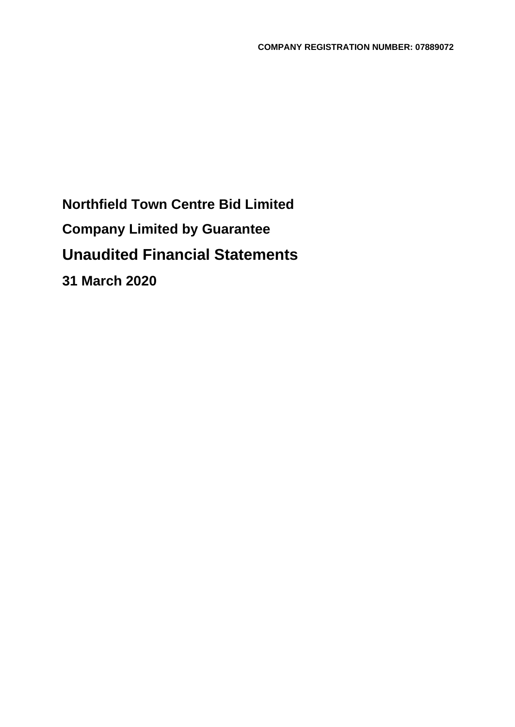**Northfield Town Centre Bid Limited Company Limited by Guarantee Unaudited Financial Statements 31 March 2020**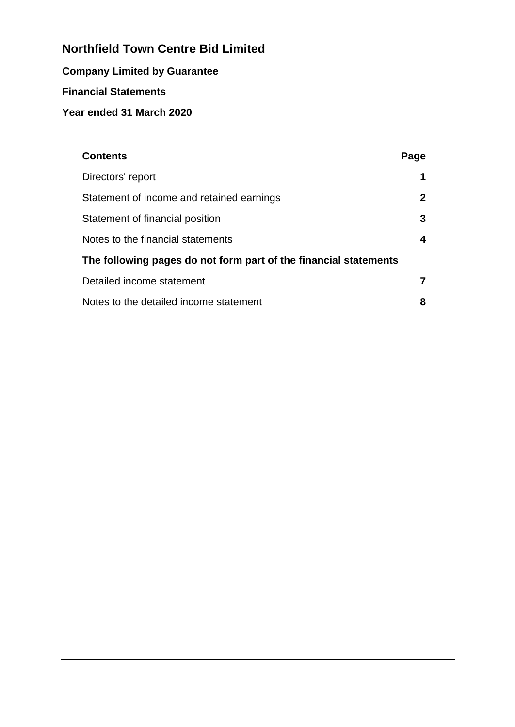# **Company Limited by Guarantee**

# **Financial Statements**

# **Year ended 31 March 2020**

| <b>Contents</b>                                                  | Page         |  |  |
|------------------------------------------------------------------|--------------|--|--|
| Directors' report                                                | 1            |  |  |
| Statement of income and retained earnings                        | $\mathbf{2}$ |  |  |
| Statement of financial position                                  | 3            |  |  |
| Notes to the financial statements                                | 4            |  |  |
| The following pages do not form part of the financial statements |              |  |  |
| Detailed income statement                                        |              |  |  |
| Notes to the detailed income statement                           | 8            |  |  |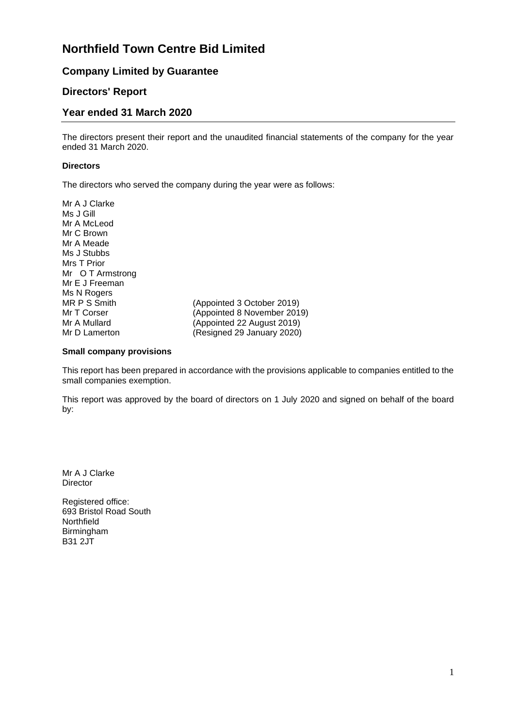### **Company Limited by Guarantee**

### **Directors' Report**

#### **Year ended 31 March 2020**

The directors present their report and the unaudited financial statements of the company for the year ended 31 March 2020.

#### **Directors**

The directors who served the company during the year were as follows:

| Mr A J Clarke    |                             |
|------------------|-----------------------------|
| Ms J Gill        |                             |
| Mr A McLeod      |                             |
| Mr C Brown       |                             |
| Mr A Meade       |                             |
| Ms J Stubbs      |                             |
| Mrs T Prior      |                             |
| Mr O T Armstrong |                             |
| Mr E J Freeman   |                             |
| Ms N Rogers      |                             |
| MR P S Smith     | (Appointed 3 October 2019)  |
| Mr T Corser      | (Appointed 8 November 2019) |
| Mr A Mullard     | (Appointed 22 August 2019)  |
| Mr D Lamerton    | (Resigned 29 January 2020)  |
|                  |                             |

#### **Small company provisions**

This report has been prepared in accordance with the provisions applicable to companies entitled to the small companies exemption.

This report was approved by the board of directors on 1 July 2020 and signed on behalf of the board by:

Mr A J Clarke Director

Registered office: 693 Bristol Road South Northfield Birmingham B31 2JT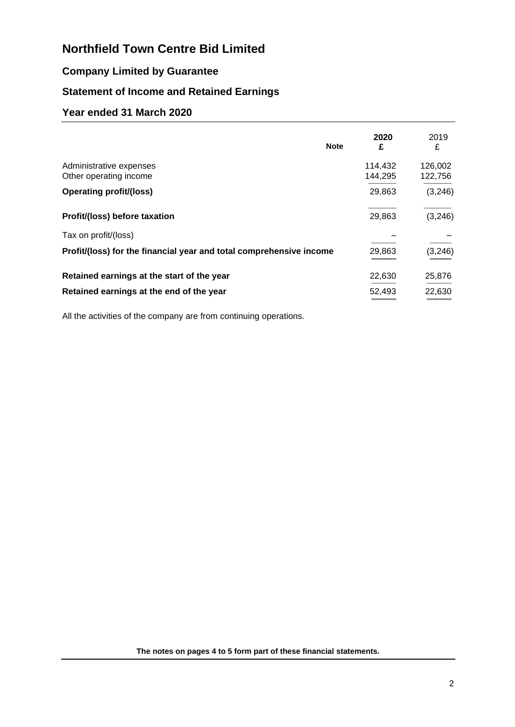## **Company Limited by Guarantee**

# **Statement of Income and Retained Earnings**

### **Year ended 31 March 2020**

|                                                                     | <b>Note</b> | 2020<br>£          | 2019<br>£          |
|---------------------------------------------------------------------|-------------|--------------------|--------------------|
| Administrative expenses<br>Other operating income                   |             | 114,432<br>144,295 | 126,002<br>122,756 |
| <b>Operating profit/(loss)</b>                                      |             | 29,863             | (3, 246)           |
| Profit/(loss) before taxation                                       |             | 29,863             | (3, 246)           |
| Tax on profit/(loss)                                                |             |                    |                    |
| Profit/(loss) for the financial year and total comprehensive income |             | 29,863             | (3, 246)           |
| Retained earnings at the start of the year                          |             | 22,630             | 25,876             |
| Retained earnings at the end of the year                            |             | 52,493             | 22,630             |

All the activities of the company are from continuing operations.

**The notes on pages 4 to 5 form part of these financial statements.**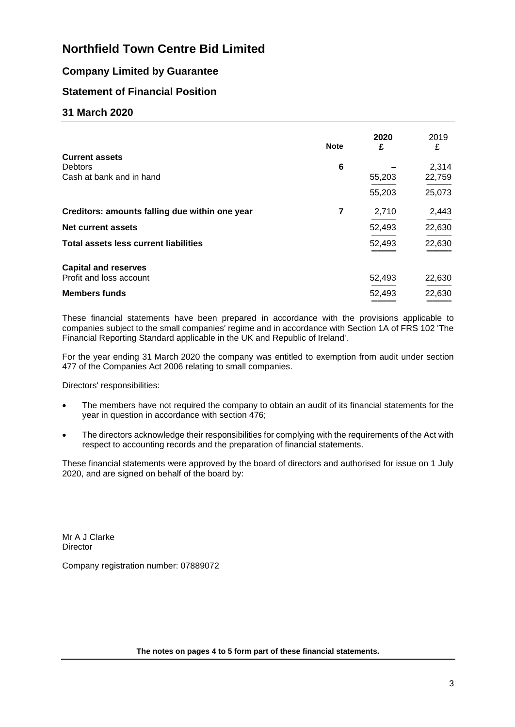## **Company Limited by Guarantee**

## **Statement of Financial Position**

#### **31 March 2020**

|                                                | <b>Note</b> | 2020<br>£ | 2019<br>£ |
|------------------------------------------------|-------------|-----------|-----------|
| <b>Current assets</b><br><b>Debtors</b>        | 6           |           | 2,314     |
| Cash at bank and in hand                       |             | 55,203    | 22,759    |
|                                                |             | 55,203    | 25,073    |
| Creditors: amounts falling due within one year | 7           | 2,710     | 2,443     |
| Net current assets                             |             | 52,493    | 22,630    |
| <b>Total assets less current liabilities</b>   |             | 52,493    | 22,630    |
| <b>Capital and reserves</b>                    |             |           |           |
| Profit and loss account                        |             | 52,493    | 22,630    |
| <b>Members funds</b>                           |             | 52,493    | 22,630    |

These financial statements have been prepared in accordance with the provisions applicable to companies subject to the small companies' regime and in accordance with Section 1A of FRS 102 'The Financial Reporting Standard applicable in the UK and Republic of Ireland'.

For the year ending 31 March 2020 the company was entitled to exemption from audit under section 477 of the Companies Act 2006 relating to small companies.

Directors' responsibilities:

- The members have not required the company to obtain an audit of its financial statements for the year in question in accordance with section 476;
- The directors acknowledge their responsibilities for complying with the requirements of the Act with respect to accounting records and the preparation of financial statements.

These financial statements were approved by the board of directors and authorised for issue on 1 July 2020, and are signed on behalf of the board by:

Mr A J Clarke **Director** 

Company registration number: 07889072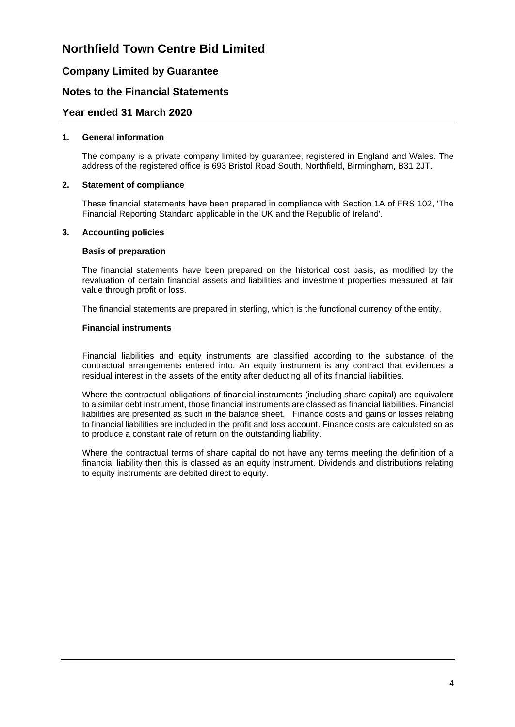## **Company Limited by Guarantee**

### **Notes to the Financial Statements**

#### **Year ended 31 March 2020**

#### **1. General information**

The company is a private company limited by guarantee, registered in England and Wales. The address of the registered office is 693 Bristol Road South, Northfield, Birmingham, B31 2JT.

#### **2. Statement of compliance**

These financial statements have been prepared in compliance with Section 1A of FRS 102, 'The Financial Reporting Standard applicable in the UK and the Republic of Ireland'.

#### **3. Accounting policies**

#### **Basis of preparation**

The financial statements have been prepared on the historical cost basis, as modified by the revaluation of certain financial assets and liabilities and investment properties measured at fair value through profit or loss.

The financial statements are prepared in sterling, which is the functional currency of the entity.

#### **Financial instruments**

Financial liabilities and equity instruments are classified according to the substance of the contractual arrangements entered into. An equity instrument is any contract that evidences a residual interest in the assets of the entity after deducting all of its financial liabilities.

Where the contractual obligations of financial instruments (including share capital) are equivalent to a similar debt instrument, those financial instruments are classed as financial liabilities. Financial liabilities are presented as such in the balance sheet. Finance costs and gains or losses relating to financial liabilities are included in the profit and loss account. Finance costs are calculated so as to produce a constant rate of return on the outstanding liability.

Where the contractual terms of share capital do not have any terms meeting the definition of a financial liability then this is classed as an equity instrument. Dividends and distributions relating to equity instruments are debited direct to equity.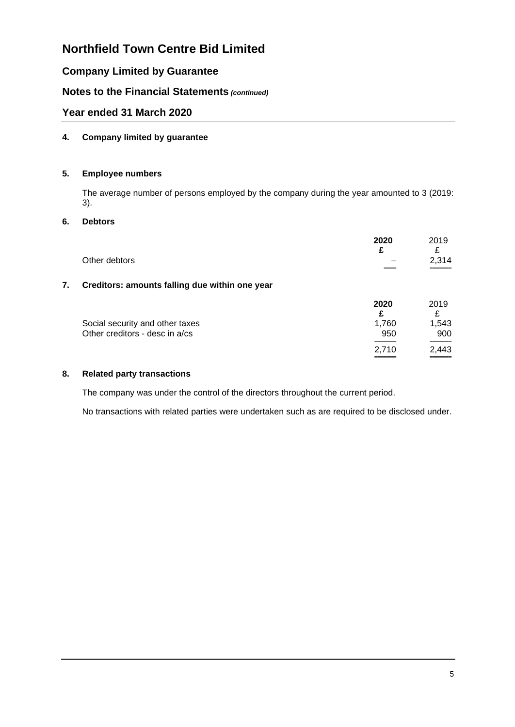## **Company Limited by Guarantee**

## **Notes to the Financial Statements** *(continued)*

### **Year ended 31 March 2020**

#### **4. Company limited by guarantee**

#### **5. Employee numbers**

The average number of persons employed by the company during the year amounted to 3 (2019: 3).

#### **6. Debtors**

|    | Other debtors                                                     | 2020<br>£    | 2019<br>£<br>2,314 |
|----|-------------------------------------------------------------------|--------------|--------------------|
| 7. | Creditors: amounts falling due within one year                    |              |                    |
|    |                                                                   | 2020<br>£    | 2019<br>£          |
|    | Social security and other taxes<br>Other creditors - desc in a/cs | 1,760<br>950 | 1,543<br>900       |
|    |                                                                   | 2.710        | 2,443              |

#### **8. Related party transactions**

The company was under the control of the directors throughout the current period.

No transactions with related parties were undertaken such as are required to be disclosed under.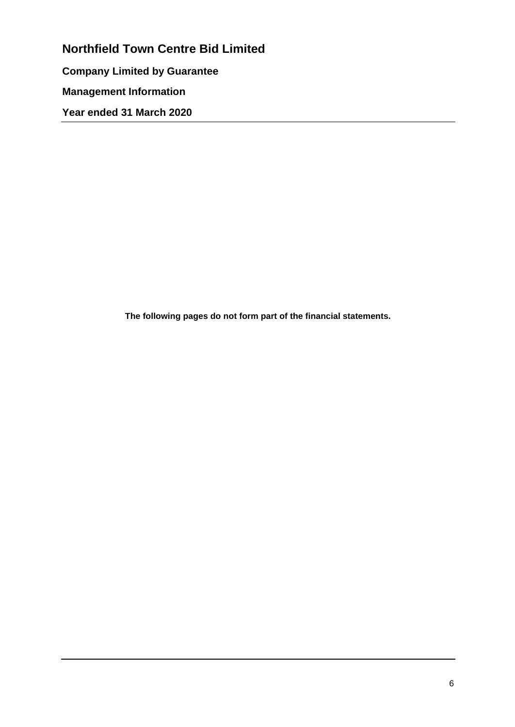**Northfield Town Centre Bid Limited Company Limited by Guarantee Management Information Year ended 31 March 2020**

**The following pages do not form part of the financial statements.**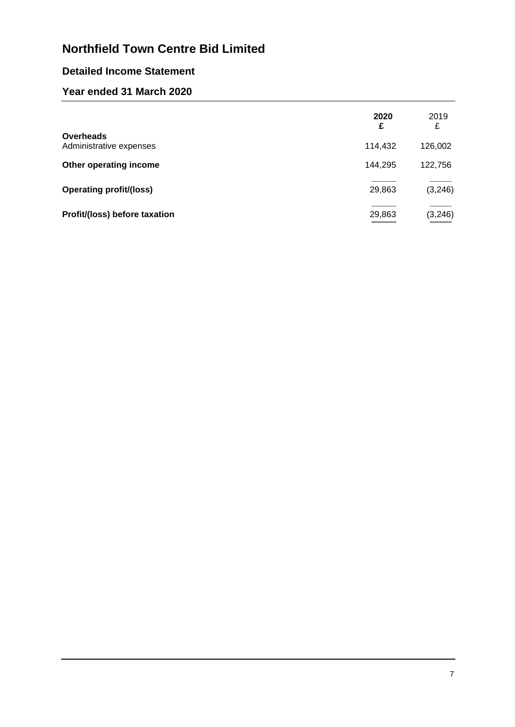# **Detailed Income Statement**

## **Year ended 31 March 2020**

|                                             | 2020<br>£ | 2019<br>£ |
|---------------------------------------------|-----------|-----------|
| <b>Overheads</b><br>Administrative expenses | 114,432   | 126,002   |
| Other operating income                      | 144,295   | 122,756   |
| <b>Operating profit/(loss)</b>              | 29,863    | (3, 246)  |
| Profit/(loss) before taxation               | 29,863    | (3, 246)  |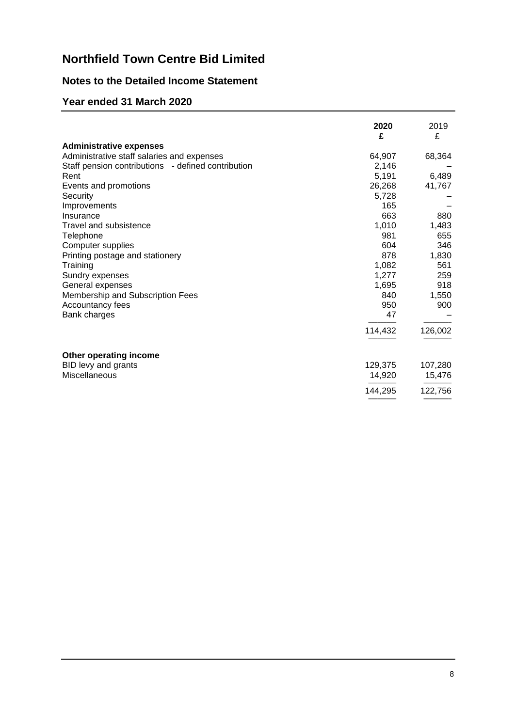## **Notes to the Detailed Income Statement**

## **Year ended 31 March 2020**

|                                                    | 2020<br>£ | 2019<br>£ |
|----------------------------------------------------|-----------|-----------|
| <b>Administrative expenses</b>                     |           |           |
| Administrative staff salaries and expenses         | 64,907    | 68,364    |
| Staff pension contributions - defined contribution | 2,146     |           |
| Rent                                               | 5,191     | 6,489     |
| Events and promotions                              | 26,268    | 41,767    |
| Security                                           | 5,728     |           |
| Improvements                                       | 165       |           |
| Insurance                                          | 663       | 880       |
| <b>Travel and subsistence</b>                      | 1,010     | 1,483     |
| Telephone                                          | 981       | 655       |
| Computer supplies                                  | 604       | 346       |
| Printing postage and stationery                    | 878       | 1,830     |
| Training                                           | 1,082     | 561       |
| Sundry expenses                                    | 1,277     | 259       |
| General expenses                                   | 1,695     | 918       |
| Membership and Subscription Fees                   | 840       | 1,550     |
| Accountancy fees                                   | 950       | 900       |
| Bank charges                                       | 47        |           |
|                                                    | 114,432   | 126,002   |
| Other operating income                             |           |           |
| BID levy and grants                                | 129,375   | 107,280   |
| Miscellaneous                                      | 14,920    | 15,476    |
|                                                    | 144,295   | 122,756   |